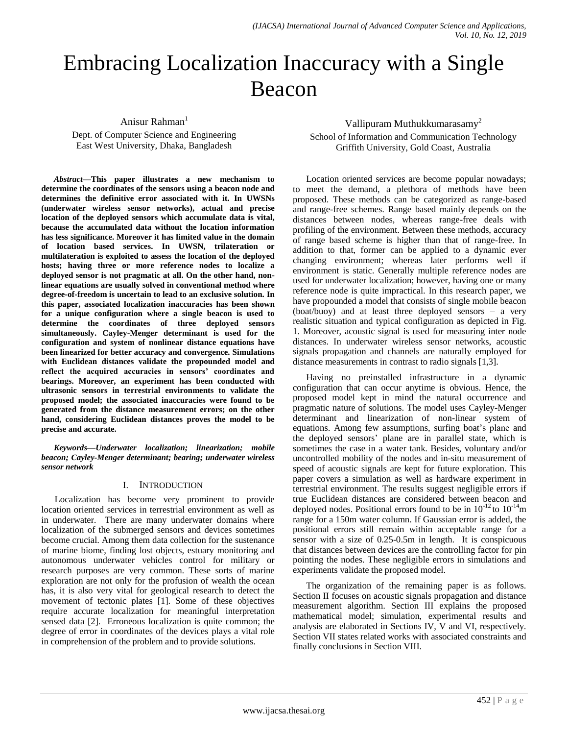# Embracing Localization Inaccuracy with a Single Beacon

Anisur Rahman<sup>1</sup>

Dept. of Computer Science and Engineering East West University, Dhaka, Bangladesh

*Abstract***—This paper illustrates a new mechanism to determine the coordinates of the sensors using a beacon node and determines the definitive error associated with it. In UWSNs (underwater wireless sensor networks), actual and precise location of the deployed sensors which accumulate data is vital, because the accumulated data without the location information has less significance. Moreover it has limited value in the domain of location based services. In UWSN, trilateration or multilateration is exploited to assess the location of the deployed hosts; having three or more reference nodes to localize a deployed sensor is not pragmatic at all. On the other hand, nonlinear equations are usually solved in conventional method where degree-of-freedom is uncertain to lead to an exclusive solution. In this paper, associated localization inaccuracies has been shown for a unique configuration where a single beacon is used to determine the coordinates of three deployed sensors simultaneously. Cayley-Menger determinant is used for the configuration and system of nonlinear distance equations have been linearized for better accuracy and convergence. Simulations with Euclidean distances validate the propounded model and reflect the acquired accuracies in sensors' coordinates and bearings. Moreover, an experiment has been conducted with ultrasonic sensors in terrestrial environments to validate the proposed model; the associated inaccuracies were found to be generated from the distance measurement errors; on the other hand, considering Euclidean distances proves the model to be precise and accurate.**

*Keywords—Underwater localization; linearization; mobile beacon; Cayley-Menger determinant; bearing; underwater wireless sensor network*

# I. INTRODUCTION

Localization has become very prominent to provide location oriented services in terrestrial environment as well as in underwater. There are many underwater domains where localization of the submerged sensors and devices sometimes become crucial. Among them data collection for the sustenance of marine biome, finding lost objects, estuary monitoring and autonomous underwater vehicles control for military or research purposes are very common. These sorts of marine exploration are not only for the profusion of wealth the ocean has, it is also very vital for geological research to detect the movement of tectonic plates [1]. Some of these objectives require accurate localization for meaningful interpretation sensed data [2]. Erroneous localization is quite common; the degree of error in coordinates of the devices plays a vital role in comprehension of the problem and to provide solutions.

Vallipuram Muthukkumarasamy<sup>2</sup>

School of Information and Communication Technology Griffith University, Gold Coast, Australia

Location oriented services are become popular nowadays; to meet the demand, a plethora of methods have been proposed. These methods can be categorized as range-based and range-free schemes. Range based mainly depends on the distances between nodes, whereas range-free deals with profiling of the environment. Between these methods, accuracy of range based scheme is higher than that of range-free. In addition to that, former can be applied to a dynamic ever changing environment; whereas later performs well if environment is static. Generally multiple reference nodes are used for underwater localization; however, having one or many reference node is quite impractical. In this research paper, we have propounded a model that consists of single mobile beacon (boat/buoy) and at least three deployed sensors – a very realistic situation and typical configuration as depicted in Fig. 1. Moreover, acoustic signal is used for measuring inter node distances. In underwater wireless sensor networks, acoustic signals propagation and channels are naturally employed for distance measurements in contrast to radio signals [1,3].

Having no preinstalled infrastructure in a dynamic configuration that can occur anytime is obvious. Hence, the proposed model kept in mind the natural occurrence and pragmatic nature of solutions. The model uses Cayley-Menger determinant and linearization of non-linear system of equations. Among few assumptions, surfing boat's plane and the deployed sensors' plane are in parallel state, which is sometimes the case in a water tank. Besides, voluntary and/or uncontrolled mobility of the nodes and in-situ measurement of speed of acoustic signals are kept for future exploration. This paper covers a simulation as well as hardware experiment in terrestrial environment. The results suggest negligible errors if true Euclidean distances are considered between beacon and deployed nodes. Positional errors found to be in  $10^{-12}$  to  $10^{-14}$ m range for a 150m water column. If Gaussian error is added, the positional errors still remain within acceptable range for a sensor with a size of 0.25-0.5m in length. It is conspicuous that distances between devices are the controlling factor for pin pointing the nodes. These negligible errors in simulations and experiments validate the proposed model.

The organization of the remaining paper is as follows. Section II focuses on acoustic signals propagation and distance measurement algorithm. Section III explains the proposed mathematical model; simulation, experimental results and analysis are elaborated in Sections IV, V and VI, respectively. Section VII states related works with associated constraints and finally conclusions in Section VIII.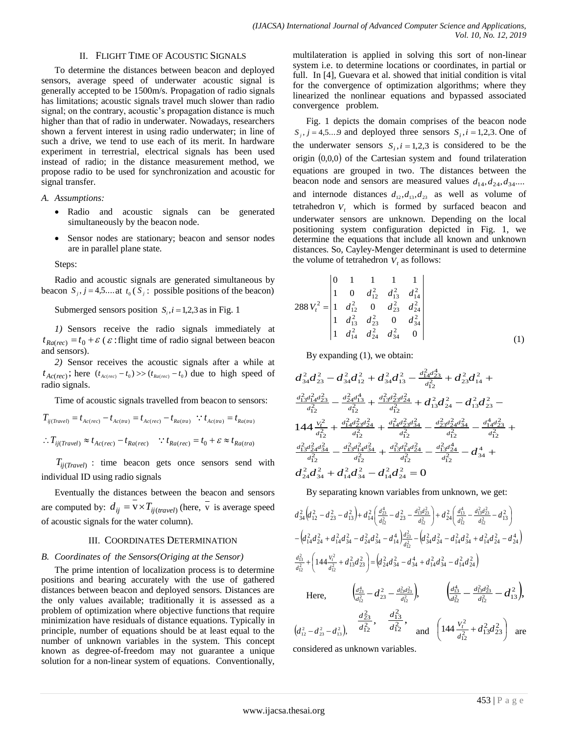# II. FLIGHT TIME OF ACOUSTIC SIGNALS

To determine the distances between beacon and deployed sensors, average speed of underwater acoustic signal is generally accepted to be 1500m/s. Propagation of radio signals has limitations; acoustic signals travel much slower than radio signal; on the contrary, acoustic's propagation distance is much higher than that of radio in underwater. Nowadays, researchers shown a fervent interest in using radio underwater; in line of such a drive, we tend to use each of its merit. In hardware experiment in terrestrial, electrical signals has been used instead of radio; in the distance measurement method, we propose radio to be used for synchronization and acoustic for signal transfer.

*A. Assumptions:*

- Radio and acoustic signals can be generated simultaneously by the beacon node.
- Sensor nodes are stationary; beacon and sensor nodes are in parallel plane state.

Steps:

Radio and acoustic signals are generated simultaneous by beacon  $S_j$ ,  $j = 4,5...$  at  $t_0$  ( $S_j$ : possible positions of the beacon)

Submerged sensors position  $S_i$ ,  $i = 1,2,3$  as in Fig. 1

*1)* Sensors receive the radio signals immediately at  $t_{Ra(rec)} = t_0 + \varepsilon$  ( $\varepsilon$ : flight time of radio signal between beacon and sensors).

*2)* Sensor receives the acoustic signals after a while at  $t_{Ac(rec)}$ ; here  $(t_{Ac(rec)} - t_0) \gg (t_{Ra(rec)} - t_0)$  due to high speed of radio signals.

Time of acoustic signals travelled from beacon to sensors:

$$
T_{ij(Travel)} = t_{Ac(rec)} - t_{Ac(res)} = t_{Ac(rec)} - t_{Ra(ma)} \therefore t_{Ac(ma)} = t_{Ra(ra)}
$$
  
 
$$
\therefore T_{ij(Travel)} \approx t_{Ac(rec)} - t_{Ra(rec)} \therefore t_{Ra(rec)} = t_0 + \varepsilon \approx t_{Ra(ra)}
$$

*Tij*(*Travel*) : time beacon gets once sensors send with individual ID using radio signals

Eventually the distances between the beacon and sensors are computed by:  $d_{ij} = v \times T_{ij(trainvel)}$  (here,  $\overline{v}$  is average speed of acoustic signals for the water column).

### III. COORDINATES DETERMINATION

## *B. Coordinates of the Sensors(Origing at the Sensor)*

The prime intention of localization process is to determine positions and bearing accurately with the use of gathered distances between beacon and deployed sensors. Distances are the only values available; traditionally it is assessed as a problem of optimization where objective functions that require minimization have residuals of distance equations. Typically in principle, number of equations should be at least equal to the number of unknown variables in the system. This concept known as degree-of-freedom may not guarantee a unique solution for a non-linear system of equations. Conventionally,

multilateration is applied in solving this sort of non-linear system i.e. to determine locations or coordinates, in partial or full. In [4], Guevara et al. showed that initial condition is vital for the convergence of optimization algorithms; where they linearized the nonlinear equations and bypassed associated convergence problem.

Fig. 1 depicts the domain comprises of the beacon node  $S_j$ ,  $j = 4,5...9$  and deployed three sensors  $S_i$ ,  $i = 1,2,3$ . One of the underwater sensors  $S_i$ ,  $i = 1,2,3$  is considered to be the origin 0,0,0 of the Cartesian system and found trilateration equations are grouped in two. The distances between the beacon node and sensors are measured values  $d_{14}, d_{24}, d_{34}...$ and internode distances  $d_{12}, d_{13}, d_{23}$  as well as volume of tetrahedron  $V_t$  which is formed by surfaced beacon and underwater sensors are unknown. Depending on the local positioning system configuration depicted in Fig. 1, we determine the equations that include all known and unknown distances. So, Cayley-Menger determinant is used to determine the volume of tetrahedron  $V_t$  as follows:

$$
288 V_t^2 = \begin{vmatrix} 0 & 1 & 1 & 1 & 1 \\ 1 & 0 & d_{12}^2 & d_{13}^2 & d_{14}^2 \\ 1 & d_{12}^2 & 0 & d_{23}^2 & d_{24}^2 \\ 1 & d_{13}^2 & d_{23}^2 & 0 & d_{34}^2 \\ 1 & d_{14}^2 & d_{24}^2 & d_{34}^2 & 0 \end{vmatrix}
$$
 (1)

By expanding (1), we obtain:

$$
\begin{aligned} d_{34}^2d_{23}^2-d_{34}^2d_{12}^2+d_{34}^2d_{13}^2-\frac{d_{14}^2d_{23}^4}{d_{12}^2}+d_{23}^2d_{14}^2+\\ \frac{d_{13}^2d_{14}^2d_{23}^2}{d_{12}^2}-\frac{d_{24}^2d_{13}^4}{d_{12}^2}+\frac{d_{13}^2d_{23}^2d_{24}^2}{d_{12}^2}+d_{13}^2d_{24}^2-d_{13}^2d_{23}^2-\\ 144\frac{V_t^2}{d_{12}^2}+\frac{d_{14}^2d_{23}^2d_{24}^2}{d_{12}^2}+\frac{d_{14}^2d_{23}^2d_{34}^2}{d_{12}^2}-\frac{d_{23}^2d_{24}^2d_{34}^2}{d_{12}^2}-\frac{d_{14}^4d_{23}^2}{d_{12}^2}+\\ \frac{d_{13}^2d_{24}^2d_{34}^2}{d_{12}^2}-\frac{d_{13}^2d_{14}^2d_{34}^2}{d_{12}^2}+\frac{d_{13}^2d_{14}^2d_{24}^2}{d_{12}^2}-\frac{d_{13}^2d_{24}^4}{d_{12}^2}-d_{34}^4+\\ d_{24}^2d_{34}^2+d_{14}^2d_{34}^2-d_{14}^2d_{24}^2=0\end{aligned}
$$

By separating known variables from unknown, we get:

$$
d_{34}^{2}\left(d_{12}^{2}-d_{23}^{2}-d_{13}^{2}\right)+d_{14}^{2}\left(\frac{d_{23}^{4}}{d_{12}^{2}}-d_{23}^{2}-\frac{d_{13}^{2}d_{23}^{2}}{d_{12}^{2}}\right)+d_{24}^{2}\left(\frac{d_{13}^{4}}{d_{12}^{2}}-\frac{d_{13}^{2}d_{23}^{2}}{d_{12}^{2}}-d_{13}^{2}\right)
$$
\n
$$
-\left(d_{14}^{2}d_{24}^{2}+d_{14}^{2}d_{34}^{2}-d_{24}^{2}d_{34}^{2}-d_{14}^{4}\right)\frac{d_{23}^{2}}{d_{12}^{2}}-\left(d_{34}^{2}d_{24}^{2}-d_{14}^{2}d_{34}^{2}+d_{14}^{2}d_{24}^{2}-d_{24}^{4}\right)
$$
\n
$$
\frac{d_{13}^{2}}{d_{12}^{2}}+\left(144\frac{v_{i}^{2}}{d_{12}^{2}}+d_{13}^{2}d_{23}^{2}\right)=\left(d_{24}^{2}d_{34}^{2}-d_{34}^{4}+d_{14}^{2}d_{34}^{2}-d_{14}^{2}d_{24}^{2}\right)
$$
\nHere,\n
$$
\left(\frac{d_{23}^{4}}{d_{12}^{2}}-d_{23}^{2}-\frac{d_{13}^{2}d_{23}^{2}}{d_{12}^{2}}\right), \qquad \left(\frac{d_{13}^{4}}{d_{12}^{2}}-\frac{d_{13}^{2}d_{23}^{2}}{d_{12}^{2}}-d_{13}^{2}\right),
$$
\n
$$
\left(d_{12}^{2}-d_{23}^{2}-d_{13}^{2}\right), \qquad \frac{d_{23}^{2}}{d_{12}^{2}}, \qquad \frac{d_{13}^{2}}{d_{12}^{2}}, \qquad \text{and} \quad \left(144\frac{v_{i}^{2}}{d_{12}^{2}}+d_{13}^{2}d_{23}^{2}\right) \text{ are}
$$

considered as unknown variables.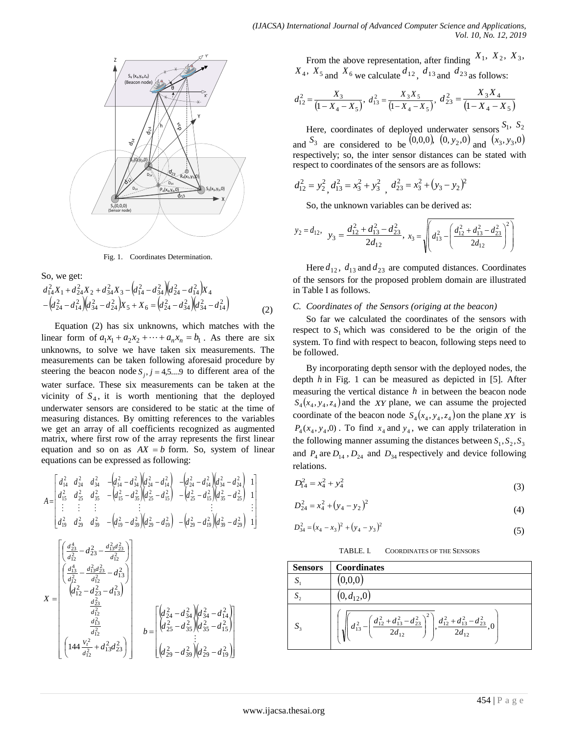

Fig. 1. Coordinates Determination.

So, we get:

$$
d_{14}^2 X_1 + d_{24}^2 X_2 + d_{34}^2 X_3 - (d_{14}^2 - d_{34}^2)(d_{24}^2 - d_{14}^2)X_4
$$
  
 
$$
-(d_{24}^2 - d_{14}^2)(d_{34}^2 - d_{24}^2)X_5 + X_6 = (d_{24}^2 - d_{34}^2)(d_{34}^2 - d_{14}^2)
$$
 (2)

Equation (2) has six unknowns, which matches with the linear form of  $a_1x_1 + a_2x_2 + \cdots + a_nx_n = b_1$ . As there are six unknowns, to solve we have taken six measurements. The measurements can be taken following aforesaid procedure by steering the beacon node  $S_j$ ,  $j = 4,5...9$  to different area of the water surface. These six measurements can be taken at the vicinity of  $S_4$ , it is worth mentioning that the deployed underwater sensors are considered to be static at the time of measuring distances. By omitting references to the variables we get an array of all coefficients recognized as augmented matrix, where first row of the array represents the first linear equation and so on as  $AX = b$  form. So, system of linear equations can be expressed as following:

$$
A = \begin{bmatrix} d_{14}^2 & d_{24}^2 & d_{34}^2 & -\left(d_{14}^2 - d_{34}^2\right) \left(d_{24}^2 - d_{14}^2\right) & -\left(d_{24}^2 - d_{14}^2\right) \left(d_{34}^2 - d_{24}^2\right) & 1 \\ d_{15}^2 & d_{25}^2 & d_{35}^2 & -\left(d_{15}^2 - d_{35}^2\right) \left(d_{25}^2 - d_{15}^2\right) & -\left(d_{25}^2 - d_{15}^2\right) \left(d_{35}^2 - d_{25}^2\right) & 1 \\ \vdots & \vdots & \vdots & \vdots & \vdots & \vdots \\ d_{19}^2 & d_{29}^2 & d_{39}^2 & -\left(d_{19}^2 - d_{39}^2\right) \left(d_{29}^2 - d_{19}^2\right) & -\left(d_{29}^2 - d_{19}^2\right) \left(d_{39}^2 - d_{29}^2\right) & 1 \end{bmatrix}
$$
  
\n
$$
X = \begin{bmatrix} \left(\frac{d_{23}^4}{d_{12}^2} - d_{23}^2 - \frac{d_{13}^2 d_{23}^2}{d_{12}^2} & 1 \\ \left(\frac{d_{13}^4}{d_{12}^2} - \frac{d_{13}^2 d_{23}^2}{d_{12}^2} - d_{13}^2\right) & 1 \\ \left(\frac{d_{13}^4}{d_{12}^2} - \frac{d_{13}^2 d_{23}^2}{d_{12}^2} - d_{13}^2\right) & 1 \end{bmatrix}
$$
  
\n
$$
X = \begin{bmatrix} \left(d_{24}^2 - d_{23}^2 - d_{13}^2\right) & 1 \\ \left(d_{24}^2 - d_{23}^2 - d_{13}^2\right) & 1 \\ \left(d_{25}^2 - d_{35}^2\right) & 1 \\ \left(d_{25}^2 - d_{35}^2\right) & 1 \end{bmatrix}
$$
  
\n
$$
X = \begin{bmatrix} \left(d_{24}^2 - d_{34}^2\right) & \left(d
$$

J

L

From the above representation, after finding  $X_1$ ,  $X_2$ ,  $X_3$ ,  $X_4$ ,  $X_5$  and  $X_6$  we calculate  $d_{12}$ ,  $d_{13}$  and  $d_{23}$  as follows:

$$
d_{12}^2 = \frac{X_3}{\left(1 - X_4 - X_5\right)}, \ d_{13}^2 = \frac{X_3 X_5}{\left(1 - X_4 - X_5\right)}, \ d_{23}^2 = \frac{X_3 X_4}{\left(1 - X_4 - X_5\right)}
$$

Here, coordinates of deployed underwater sensors  $S_1$ ,  $S_2$ and  $S_3$  are considered to be  $(0,0,0)$ ,  $(0, y_2, 0)$  and  $(x_3, y_3, 0)$ respectively; so, the inter sensor distances can be stated with respect to coordinates of the sensors are as follows:

$$
d_{12}^2 = y_2^2, d_{13}^2 = x_3^2 + y_3^2, d_{23}^2 = x_3^2 + (y_3 - y_2)^2
$$

So, the unknown variables can be derived as:

$$
y_2 = d_{12},
$$
  $y_3 = \frac{d_{12}^2 + d_{13}^2 - d_{23}^2}{2d_{12}},$   $x_3 = \sqrt{\left(d_{13}^2 - \left(\frac{d_{12}^2 + d_{13}^2 - d_{23}^2}{2d_{12}}\right)^2\right)}$ 

Here  $d_{12}$ ,  $d_{13}$  and  $d_{23}$  are computed distances. Coordinates of the sensors for the proposed problem domain are illustrated in Table I as follows.

## *C. Coordinates of the Sensors (origing at the beacon)*

So far we calculated the coordinates of the sensors with respect to  $S_1$  which was considered to be the origin of the system. To find with respect to beacon, following steps need to be followed.

By incorporating depth sensor with the deployed nodes, the depth *h* in Fig. 1 can be measured as depicted in [5]. After measuring the vertical distance *h* in between the beacon node  $S_4(x_4, y_4, z_4)$  and the *XY* plane, we can assume the projected coordinate of the beacon node  $S_4(x_4, y_4, z_4)$  on the plane *XY* is  $P_4(x_4, y_4, 0)$ . To find  $x_4$  and  $y_4$ , we can apply trilateration in the following manner assuming the distances between  $S_1, S_2, S_3$ and  $P_4$  are  $D_{14}$ ,  $D_{24}$  and  $D_{34}$  respectively and device following relations.

$$
D_{14}^2 = x_4^2 + y_4^2 \tag{3}
$$

$$
D_{24}^2 = x_4^2 + (y_4 - y_2)^2 \tag{4}
$$

$$
D_{34}^2 = (x_4 - x_3)^2 + (y_4 - y_3)^2 \tag{5}
$$

TABLE. I. COORDINATES OF THE SENSORS

Sensors Coordinates  
\n
$$
S_1
$$
 (0,0,0)  
\n $S_2$  (0,d<sub>12</sub>,0)  
\n $S_3$   $\left(\sqrt{\left(d_{13}^2 - \left(\frac{d_{12}^2 + d_{13}^2 - d_{23}^2}{2d_{12}}\right)^2\right)}, \frac{d_{12}^2 + d_{13}^2 - d_{23}^2}{2d_{12}}, 0\right)}$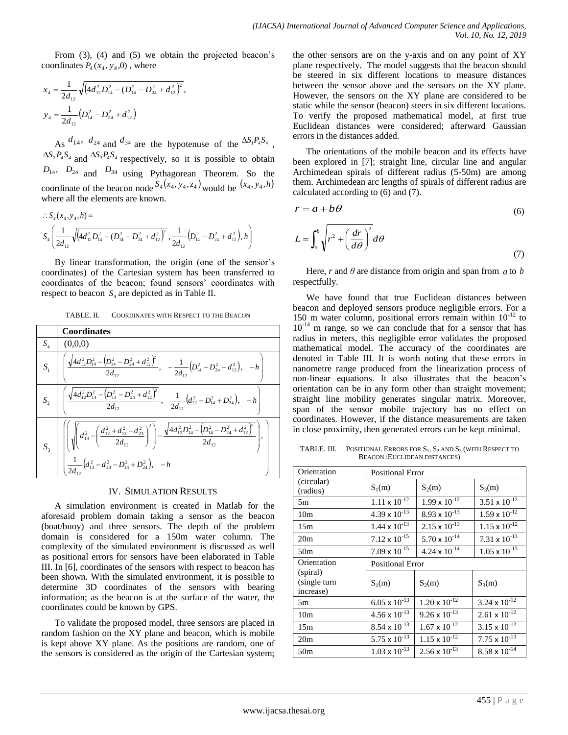From (3), (4) and (5) we obtain the projected beacon's coordinates  $P_4(x_4, y_4, 0)$ , where

$$
x_4 = \frac{1}{2d_{12}} \sqrt{\left(4d_{12}^2 D_{14}^2 - \left(D_{14}^2 - D_{24}^2 + d_{12}^2\right)^2\right)},
$$
  
\n
$$
y_4 = \frac{1}{2d_{12}} \left(D_{14}^2 - D_{24}^2 + d_{12}^2\right)
$$

As  $d_{14}$ ,  $d_{24}$  and  $d_{34}$  are the hypotenuse of the  $\Delta S_1 P_4 S_4$ ,  $\Delta S_2 P_4 S_4$  and  $\Delta S_3 P_4 S_4$  respectively, so it is possible to obtain  $D_{14}$ ,  $D_{24}$  and  $D_{34}$  using Pythagorean Theorem. So the coordinate of the beacon node  $S_4(x_4, y_4, z_4)$  would be  $(x_4, y_4, h)$ where all the elements are known.

$$
\therefore S_4(x_4, y_4, h) =
$$
  

$$
S_4\left(\frac{1}{2d_{12}}\sqrt{\left(4d_{12}^2D_{14}^2 - \left(D_{14}^2 - D_{24}^2 + d_{12}^2\right)^2}, \frac{1}{2d_{12}}\left(D_{14}^2 - D_{24}^2 + d_{12}^2\right), h\right)\right)
$$

By linear transformation, the origin (one of the sensor's coordinates) of the Cartesian system has been transferred to coordinates of the beacon; found sensors' coordinates with respect to beacon  $S_4$  are depicted as in Table II.

TABLE. II. COORDINATES WITH RESPECT TO THE BEACON

|       | <b>Coordinates</b>                                                                                                                                                                                                                                                                                                                                                                                            |
|-------|---------------------------------------------------------------------------------------------------------------------------------------------------------------------------------------------------------------------------------------------------------------------------------------------------------------------------------------------------------------------------------------------------------------|
| $S_4$ | (0,0,0)                                                                                                                                                                                                                                                                                                                                                                                                       |
| $S_1$ | $\left[\left[\frac{\sqrt{4d_{12}^2D_{14}^2-(D_{14}^2-D_{24}^2+d_{12}^2)^2}}{2d_{12}}, \frac{-1}{2d_{12}}(D_{14}^2-D_{24}^2+d_{12}^2), -h\right]$                                                                                                                                                                                                                                                              |
|       | $\left[\frac{\sqrt{4d_{12}^2D_{14}^2-(D_{14}^2-D_{24}^2+d_{12}^2)^2}}{2d_{12}}, \frac{1}{2d_{12}}(d_{12}^2-D_{14}^2+D_{24}^2), -h\right]$                                                                                                                                                                                                                                                                     |
|       | $S_3\quad \Bigg \, \Bigg \, \Bigg \, \Bigg(\Bigg \, d_{13}^{\,2} - \Bigg(\frac{d_{12}^{\,2} + d_{13}^{\,2} - d_{23}^{\,2}}{2d_{12}}\Bigg)^2\Bigg) - \frac{\sqrt{4 d_{12}^{\,2} D_{14}^{\,2} - \Big( D_{14}^{\,2} - D_{24}^{\,2} + d_{12}^{\,2}\Big)^2}}{2 d_{12}}\Bigg , \Bigg \, \Bigg \,$<br>$\begin{vmatrix} 1 & 0 \\ \frac{1}{2d_{12}}(d_{13}^2 - d_{23}^2 - D_{14}^2 + D_{24}^2), -h_{14} \end{vmatrix}$ |

# IV. SIMULATION RESULTS

A simulation environment is created in Matlab for the aforesaid problem domain taking a sensor as the beacon (boat/buoy) and three sensors. The depth of the problem domain is considered for a 150m water column. The complexity of the simulated environment is discussed as well as positional errors for sensors have been elaborated in Table III. In [6], coordinates of the sensors with respect to beacon has been shown. With the simulated environment, it is possible to determine 3D coordinates of the sensors with bearing information; as the beacon is at the surface of the water, the coordinates could be known by GPS.

To validate the proposed model, three sensors are placed in random fashion on the XY plane and beacon, which is mobile is kept above XY plane. As the positions are random, one of the sensors is considered as the origin of the Cartesian system; the other sensors are on the y-axis and on any point of XY plane respectively. The model suggests that the beacon should be steered in six different locations to measure distances between the sensor above and the sensors on the XY plane. However, the sensors on the XY plane are considered to be static while the sensor (beacon) steers in six different locations. To verify the proposed mathematical model, at first true Euclidean distances were considered; afterward Gaussian errors in the distances added.

The orientations of the mobile beacon and its effects have been explored in [7]; straight line, circular line and angular Archimedean spirals of different radius (5-50m) are among them. Archimedean arc lengths of spirals of different radius are calculated according to (6) and (7).

$$
r = a + b\theta \tag{6}
$$

$$
L = \int_{a}^{b} \sqrt{r^2 + \left(\frac{dr}{d\theta}\right)^2} d\theta \tag{7}
$$

Here,  $r$  and  $\theta$  are distance from origin and span from  $a$  to  $b$ respectfully.

We have found that true Euclidean distances between beacon and deployed sensors produce negligible errors. For a 150 m water column, positional errors remain within  $10^{-12}$  to  $10^{-14}$  m range, so we can conclude that for a sensor that has radius in meters, this negligible error validates the proposed mathematical model. The accuracy of the coordinates are denoted in Table III. It is worth noting that these errors in nanometre range produced from the linearization process of non-linear equations. It also illustrates that the beacon's orientation can be in any form other than straight movement; straight line mobility generates singular matrix. Moreover, span of the sensor mobile trajectory has no effect on coordinates. However, if the distance measurements are taken in close proximity, then generated errors can be kept minimal.

TABLE. III. POSITIONAL ERRORS FOR  $S_1$ ,  $S_2$  and  $S_3$  (with RESPECT TO BEACON :EUCLIDEAN DISTANCES)

| Orientation                           | <b>Positional Error</b> |                        |                        |  |  |  |
|---------------------------------------|-------------------------|------------------------|------------------------|--|--|--|
| (circular)<br>(radius)                | $S_1(m)$                | $S_2(m)$               | $S_3(m)$               |  |  |  |
| 5m                                    | $1.11 \times 10^{-12}$  | $1.99 \times 10^{-12}$ | $3.51 \times 10^{-12}$ |  |  |  |
| 10 <sub>m</sub>                       | $4.39 \times 10^{-13}$  | $8.93 \times 10^{-13}$ | $1.59 \times 10^{-12}$ |  |  |  |
| 15m                                   | $1.44 \times 10^{-13}$  | $2.15 \times 10^{-13}$ | $1.15 \times 10^{-12}$ |  |  |  |
| 20 <sub>m</sub>                       | $7.12 \times 10^{-15}$  | $5.70 \times 10^{-14}$ | $7.31 \times 10^{-13}$ |  |  |  |
| 50 <sub>m</sub>                       | $7.09 \times 10^{-15}$  | $4.24 \times 10^{-14}$ | $1.05 \times 10^{-13}$ |  |  |  |
| Orientation                           | <b>Positional Error</b> |                        |                        |  |  |  |
| (spiral)<br>(single turn<br>increase) | $S_1(m)$                | $S_2(m)$               | $S_3(m)$               |  |  |  |
| 5m                                    | $6.05 \times 10^{-13}$  | $1.20 \times 10^{-12}$ | $3.24 \times 10^{-12}$ |  |  |  |
| 10 <sub>m</sub>                       | $4.56 \times 10^{-13}$  | $9.26 \times 10^{-13}$ | $2.61 \times 10^{-12}$ |  |  |  |
| 15m                                   | $8.54 \times 10^{-13}$  | $1.67 \times 10^{-12}$ | $3.15 \times 10^{-12}$ |  |  |  |
| 20 <sub>m</sub>                       | $5.75 \times 10^{-13}$  | $1.15 \times 10^{-12}$ | $7.75 \times 10^{-13}$ |  |  |  |
| 50 <sub>m</sub>                       | $1.03 \times 10^{-13}$  | $2.56 \times 10^{-13}$ | $8.58 \times 10^{-14}$ |  |  |  |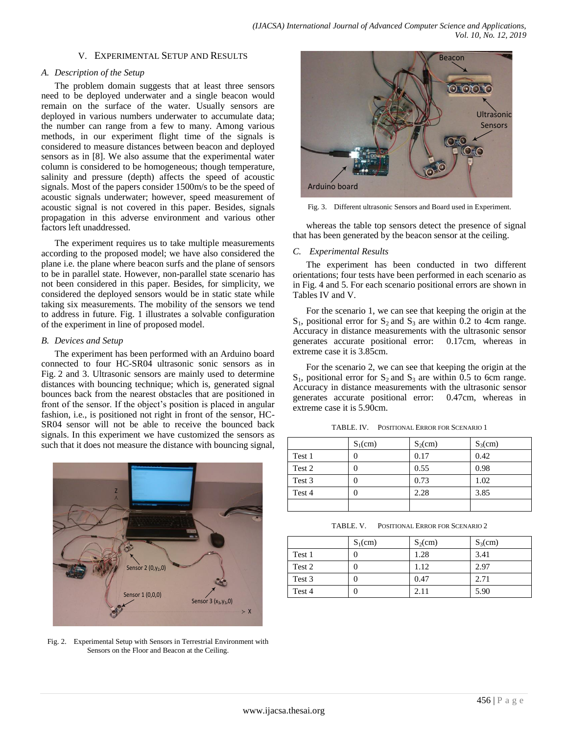# V. EXPERIMENTAL SETUP AND RESULTS

# *A. Description of the Setup*

The problem domain suggests that at least three sensors need to be deployed underwater and a single beacon would remain on the surface of the water. Usually sensors are deployed in various numbers underwater to accumulate data; the number can range from a few to many. Among various methods, in our experiment flight time of the signals is considered to measure distances between beacon and deployed sensors as in [8]. We also assume that the experimental water column is considered to be homogeneous; though temperature, salinity and pressure (depth) affects the speed of acoustic signals. Most of the papers consider 1500m/s to be the speed of acoustic signals underwater; however, speed measurement of acoustic signal is not covered in this paper. Besides, signals propagation in this adverse environment and various other factors left unaddressed.

The experiment requires us to take multiple measurements according to the proposed model; we have also considered the plane i.e. the plane where beacon surfs and the plane of sensors to be in parallel state. However, non-parallel state scenario has not been considered in this paper. Besides, for simplicity, we considered the deployed sensors would be in static state while taking six measurements. The mobility of the sensors we tend to address in future. Fig. 1 illustrates a solvable configuration of the experiment in line of proposed model.

# *B. Devices and Setup*

The experiment has been performed with an Arduino board connected to four HC-SR04 ultrasonic sonic sensors as in Fig. 2 and 3. Ultrasonic sensors are mainly used to determine distances with bouncing technique; which is, generated signal bounces back from the nearest obstacles that are positioned in front of the sensor. If the object's position is placed in angular fashion, i.e., is positioned not right in front of the sensor, HC-SR04 sensor will not be able to receive the bounced back signals. In this experiment we have customized the sensors as such that it does not measure the distance with bouncing signal,



Fig. 2. Experimental Setup with Sensors in Terrestrial Environment with Sensors on the Floor and Beacon at the Ceiling.



Fig. 3. Different ultrasonic Sensors and Board used in Experiment.

whereas the table top sensors detect the presence of signal that has been generated by the beacon sensor at the ceiling.

# *C. Experimental Results*

The experiment has been conducted in two different orientations; four tests have been performed in each scenario as in Fig. 4 and 5. For each scenario positional errors are shown in Tables IV and V.

For the scenario 1, we can see that keeping the origin at the  $S_1$ , positional error for  $S_2$  and  $S_3$  are within 0.2 to 4cm range. Accuracy in distance measurements with the ultrasonic sensor generates accurate positional error: 0.17cm, whereas in extreme case it is 3.85cm.

For the scenario 2, we can see that keeping the origin at the  $S_1$ , positional error for  $S_2$  and  $S_3$  are within 0.5 to 6cm range. Accuracy in distance measurements with the ultrasonic sensor generates accurate positional error: 0.47cm, whereas in extreme case it is 5.90cm.

|        | $S_1$ (cm) | $S_2$ (cm) | $S_3$ (cm) |
|--------|------------|------------|------------|
| Test 1 | 0          | 0.17       | 0.42       |
| Test 2 | 0          | 0.55       | 0.98       |
| Test 3 | 0          | 0.73       | 1.02       |
| Test 4 | 0          | 2.28       | 3.85       |
|        |            |            |            |

| TABLE. V. | POSITIONAL ERROR FOR SCENARIO 2 |  |  |
|-----------|---------------------------------|--|--|
|           |                                 |  |  |

|        | $S_1$ (cm) | $S_2$ (cm) | $S_3$ (cm) |
|--------|------------|------------|------------|
| Test 1 |            | 1.28       | 3.41       |
| Test 2 |            | 1.12       | 2.97       |
| Test 3 | U          | 0.47       | 2.71       |
| Test 4 |            | 2.11       | 5.90       |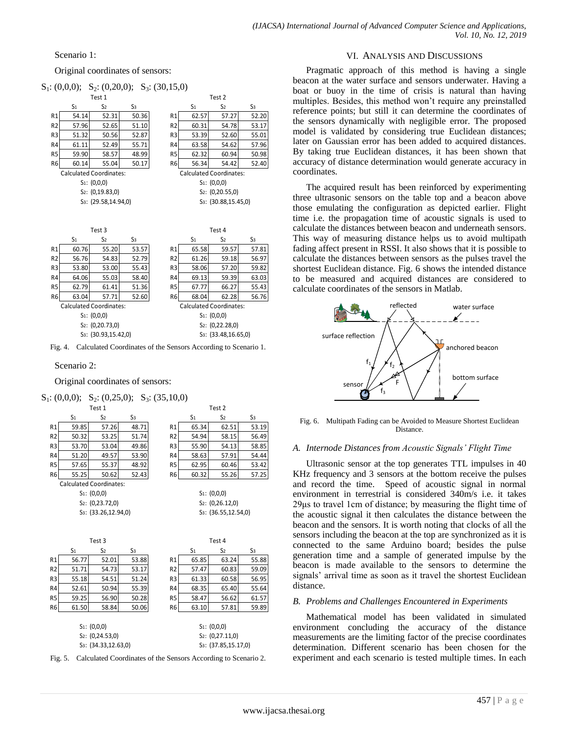# Scenario 1:

Original coordinates of sensors:  $S_1$ : (0,0,0);  $S_2$ : (0,20,0);  $S_3$ : (30,15,0)

|                                | Test 1 |                       |                |                |                | Test 2                         |                |
|--------------------------------|--------|-----------------------|----------------|----------------|----------------|--------------------------------|----------------|
|                                | S1     | S <sub>2</sub>        | S <sub>3</sub> |                | S <sub>1</sub> | S <sub>2</sub>                 | S <sub>3</sub> |
| R <sub>1</sub>                 | 54.14  | 52.31                 | 50.36          | R <sub>1</sub> | 62.57          | 57.27                          | 52.20          |
| R <sub>2</sub>                 | 57.96  | 52.65                 | 51.10          | R <sub>2</sub> | 60.31          | 54.78                          | 53.17          |
| R <sub>3</sub>                 | 51.32  | 50.56                 | 52.87          | R <sub>3</sub> | 53.39          | 52.60                          | 55.01          |
| R <sub>4</sub>                 | 61.11  | 52.49                 | 55.71          | R4             | 63.58          | 54.62                          | 57.96          |
| R <sub>5</sub>                 | 59.90  | 58.57                 | 48.99          | R <sub>5</sub> | 62.32          | 60.94                          | 50.98          |
| R <sub>6</sub>                 | 60.14  | 55.04                 | 50.17          | R <sub>6</sub> | 56.34          | 54.42                          | 52.40          |
| <b>Calculated Coordinates:</b> |        |                       |                |                |                | <b>Calculated Coordinates:</b> |                |
|                                |        | $S_1 \cdot (0, 0, 0)$ |                |                |                | $S_1$ $(0, 0, 0)$              |                |

| ited Coordinates:       | Calculated Coordi |
|-------------------------|-------------------|
| $S_1$ : (0,0,0)         | $S_1$ : (0,0,0)   |
| $S_2$ : (0,19.83,0)     | $S_2$ : (0,20.5   |
| $S_3$ : (29.58.14.94.0) | $S_3$ : (30.88)   |

|                                                     | S <sub>2</sub>                   | S3    |                | S <sub>1</sub> | S <sub>2</sub>                   | S <sub>3</sub> |
|-----------------------------------------------------|----------------------------------|-------|----------------|----------------|----------------------------------|----------------|
| 14                                                  | 52.31                            | 50.36 | R1             | 62.57          | 57.27                            | 52.2           |
| 96                                                  | 52.65                            | 51.10 | R <sub>2</sub> | 60.31          | 54.78                            | 53.1           |
| 32                                                  | 50.56                            | 52.87 | R3             | 53.39          | 52.60                            | 55.0           |
| 11                                                  | 52.49                            | 55.71 | R4             | 63.58          | 54.62                            | 57.9           |
| 90                                                  | 58.57                            | 48.99 | R <sub>5</sub> | 62.32          | 60.94                            | 50.9           |
| 14                                                  | 55.04                            | 50.17 | R6             | 56.34          | 54.42                            | 52.4           |
|                                                     | ted Coordinates:                 |       |                |                | <b>Calculated Coordinates:</b>   |                |
|                                                     | $S_1$ : (0,0,0)                  |       |                |                | $S_1$ : (0,0,0)                  |                |
| S <sub>2</sub> : (0,19.83,0)<br>$S_2$ : (0,20.55,0) |                                  |       |                |                |                                  |                |
|                                                     | S <sub>3</sub> : (29.58,14.94,0) |       |                |                | S <sub>3</sub> : (30.88,15.45,0) |                |
|                                                     |                                  |       |                |                |                                  |                |

| Test 3              |                |                                  |       |                |                | Test 4                           |                |
|---------------------|----------------|----------------------------------|-------|----------------|----------------|----------------------------------|----------------|
|                     | S <sub>1</sub> | S2                               | S3    |                | S <sub>1</sub> | S <sub>2</sub>                   | S <sub>3</sub> |
| R1                  | 60.76          | 55.20                            | 53.57 | R <sub>1</sub> | 65.58          | 59.57                            | 57.81          |
| R <sub>2</sub>      | 56.76          | 54.83                            | 52.79 | R <sub>2</sub> | 61.26          | 59.18                            | 56.97          |
| R3                  | 53.80          | 53.00                            | 55.43 | R3             | 58.06          | 57.20                            | 59.82          |
| R4                  | 64.06          | 55.03                            | 58.40 | R4             | 69.13          | 59.39                            | 63.03          |
| R5                  | 62.79          | 61.41                            | 51.36 | R <sub>5</sub> | 67.77          | 66.27                            | 55.43          |
| R6                  | 63.04          | 57.71                            | 52.60 | R <sub>6</sub> | 68.04          | 62.28                            | 56.76          |
|                     |                | <b>Calculated Coordinates:</b>   |       |                |                | <b>Calculated Coordinates:</b>   |                |
| $S_1$ : (0,0,0)     |                |                                  |       |                |                | $S_1$ : (0,0,0)                  |                |
| $S_2$ : (0,20.73,0) |                |                                  |       |                |                | $S_2$ : (0,22.28,0)              |                |
|                     |                | S <sub>3</sub> : (30.93,15.42,0) |       |                |                | S <sub>3</sub> : (33.48,16.65,0) |                |

Fig. 4. Calculated Coordinates of the Sensors According to Scenario 1.

#### Scenario 2:

Original coordinates of sensors:

 $S_1$ : (0,0,0);  $S_2$ : (0,25,0);  $S_3$ : (35,10,0) Test 1 Test 2 S1 S2 S3 S1 S2 S3 R1 59.85 57.26 48.71 R1 65.34 62.51 53.19 R2 50.32 53.25 51.74 R2 54.94 58.15 56.49 R3 53.70 53.04 49.86 R3 55.90 54.13 58.85 R4 51.20 49.57 53.90 R4 58.63 57.91 54.44 R5 57.65 55.37 48.92 R5 62.95 60.46 53.42 R6 55.25 50.62 52.43 R6 60.32 55.26 57.25 Calculated Coordinates: S<sub>1</sub>: (0,0,0) S<sub>1</sub>: (0,0,0) S<sub>2</sub>: (0,23.72,0) S<sub>2</sub>: (0,26.12,0) S3: (33.26,12.94,0) S3: (36.55,12.54,0) Test 3 Test 4 S<sub>1</sub> S<sub>2</sub> S<sub>3</sub> S<sub>1</sub> S<sub>2</sub> S<sub>3</sub> R1 56.77 52.01 53.88 R1 65.85 63.24 55.88 R2 51.71 54.73 53.17 R2 57.47 60.83 59.09 R3 55.18 54.51 51.24 R3 61.33 60.58 56.95

| R6                               | 61.50 | 58.84 | 50.06 | R <sub>6</sub> | 63.10                            | 57.81 | 59.89 |  |  |
|----------------------------------|-------|-------|-------|----------------|----------------------------------|-------|-------|--|--|
|                                  |       |       |       |                |                                  |       |       |  |  |
| $S_1$ : (0,0,0)                  |       |       |       |                | $S_1$ : (0,0,0)                  |       |       |  |  |
| $S_2$ : (0,24.53,0)              |       |       |       |                | $S_2$ : $(0,27.11,0)$            |       |       |  |  |
| S <sub>3</sub> : (34.33,12.63,0) |       |       |       |                | S <sub>3</sub> : (37.85,15.17,0) |       |       |  |  |
|                                  |       |       |       |                |                                  |       |       |  |  |

R4 52.61 50.94 55.39 R4 68.35 65.40 55.64 R5 59.25 56.90 50.28 R5 58.47 56.62 61.57

Fig. 5. Calculated Coordinates of the Sensors According to Scenario 2.

## VI. ANALYSIS AND DISCUSSIONS

Pragmatic approach of this method is having a single beacon at the water surface and sensors underwater. Having a boat or buoy in the time of crisis is natural than having multiples. Besides, this method won't require any preinstalled reference points; but still it can determine the coordinates of the sensors dynamically with negligible error. The proposed model is validated by considering true Euclidean distances; later on Gaussian error has been added to acquired distances. By taking true Euclidean distances, it has been shown that accuracy of distance determination would generate accuracy in coordinates.

The acquired result has been reinforced by experimenting three ultrasonic sensors on the table top and a beacon above those emulating the configuration as depicted earlier. Flight time i.e. the propagation time of acoustic signals is used to calculate the distances between beacon and underneath sensors. This way of measuring distance helps us to avoid multipath fading affect present in RSSI. It also shows that it is possible to calculate the distances between sensors as the pulses travel the shortest Euclidean distance. Fig. 6 shows the intended distance to be measured and acquired distances are considered to calculate coordinates of the sensors in Matlab.



Fig. 6. Multipath Fading can be Avoided to Measure Shortest Euclidean Distance.

## *A. Internode Distances from Acoustic Signals' Flight Time*

Ultrasonic sensor at the top generates TTL impulses in 40 KHz frequency and 3 sensors at the bottom receive the pulses and record the time. Speed of acoustic signal in normal environment in terrestrial is considered 340m/s i.e. it takes 29μs to travel 1cm of distance; by measuring the flight time of the acoustic signal it then calculates the distance between the beacon and the sensors. It is worth noting that clocks of all the sensors including the beacon at the top are synchronized as it is connected to the same Arduino board; besides the pulse generation time and a sample of generated impulse by the beacon is made available to the sensors to determine the signals' arrival time as soon as it travel the shortest Euclidean distance.

### *B. Problems and Challenges Encountered in Experiments*

Mathematical model has been validated in simulated environment concluding the accuracy of the distance measurements are the limiting factor of the precise coordinates determination. Different scenario has been chosen for the experiment and each scenario is tested multiple times. In each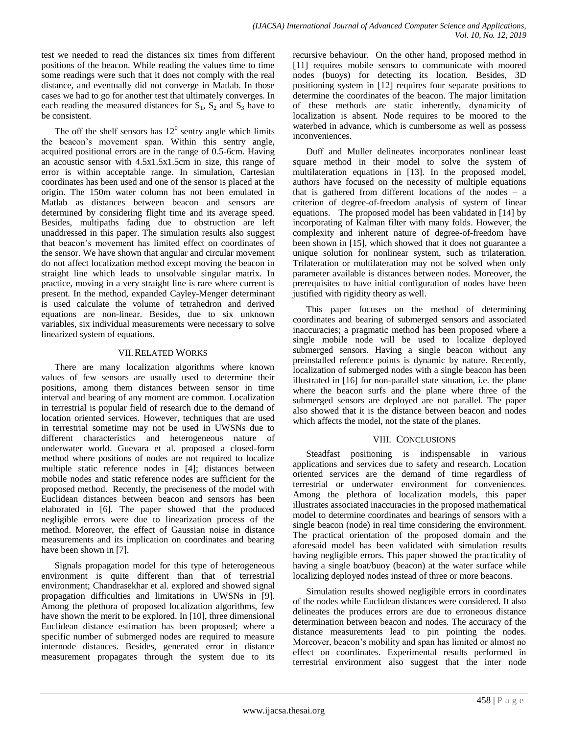test we needed to read the distances six times from different positions of the beacon. While reading the values time to time some readings were such that it does not comply with the real distance, and eventually did not converge in Matlab. In those cases we had to go for another test that ultimately converges. In each reading the measured distances for  $S_1$ ,  $S_2$  and  $S_3$  have to be consistent.

The off the shelf sensors has  $12<sup>0</sup>$  sentry angle which limits the beacon's movement span. Within this sentry angle, acquired positional errors are in the range of 0.5-6cm. Having an acoustic sensor with 4.5x1.5x1.5cm in size, this range of error is within acceptable range. In simulation, Cartesian coordinates has been used and one of the sensor is placed at the origin. The 150m water column has not been emulated in Matlab as distances between beacon and sensors are determined by considering flight time and its average speed. Besides, multipaths fading due to obstruction are left unaddressed in this paper. The simulation results also suggest that beacon's movement has limited effect on coordinates of the sensor. We have shown that angular and circular movement do not affect localization method except moving the beacon in straight line which leads to unsolvable singular matrix. In practice, moving in a very straight line is rare where current is present. In the method, expanded Cayley-Menger determinant is used calculate the volume of tetrahedron and derived equations are non-linear. Besides, due to six unknown variables, six individual measurements were necessary to solve linearized system of equations.

# VII.RELATED WORKS

There are many localization algorithms where known values of few sensors are usually used to determine their positions, among them distances between sensor in time interval and bearing of any moment are common. Localization in terrestrial is popular field of research due to the demand of location oriented services. However, techniques that are used in terrestrial sometime may not be used in UWSNs due to different characteristics and heterogeneous nature of underwater world. Guevara et al. proposed a closed-form method where positions of nodes are not required to localize multiple static reference nodes in [4]; distances between mobile nodes and static reference nodes are sufficient for the proposed method. Recently, the preciseness of the model with Euclidean distances between beacon and sensors has been elaborated in [6]. The paper showed that the produced negligible errors were due to linearization process of the method. Moreover, the effect of Gaussian noise in distance measurements and its implication on coordinates and bearing have been shown in [7].

Signals propagation model for this type of heterogeneous environment is quite different than that of terrestrial environment; Chandrasekhar et al. explored and showed signal propagation difficulties and limitations in UWSNs in [9]. Among the plethora of proposed localization algorithms, few have shown the merit to be explored. In [10], three dimensional Euclidean distance estimation has been proposed; where a specific number of submerged nodes are required to measure internode distances. Besides, generated error in distance measurement propagates through the system due to its recursive behaviour. On the other hand, proposed method in [11] requires mobile sensors to communicate with moored nodes (buoys) for detecting its location. Besides, 3D positioning system in [12] requires four separate positions to determine the coordinates of the beacon. The major limitation of these methods are static inherently, dynamicity of localization is absent. Node requires to be moored to the waterbed in advance, which is cumbersome as well as possess inconveniences.

Duff and Muller delineates incorporates nonlinear least square method in their model to solve the system of multilateration equations in [13]. In the proposed model, authors have focused on the necessity of multiple equations that is gathered from different locations of the nodes – a criterion of degree-of-freedom analysis of system of linear equations. The proposed model has been validated in [14] by incorporating of Kalman filter with many folds. However, the complexity and inherent nature of degree-of-freedom have been shown in [15], which showed that it does not guarantee a unique solution for nonlinear system, such as trilateration. Trilateration or multilateration may not be solved when only parameter available is distances between nodes. Moreover, the prerequisites to have initial configuration of nodes have been justified with rigidity theory as well.

This paper focuses on the method of determining coordinates and bearing of submerged sensors and associated inaccuracies; a pragmatic method has been proposed where a single mobile node will be used to localize deployed submerged sensors. Having a single beacon without any preinstalled reference points is dynamic by nature. Recently, localization of submerged nodes with a single beacon has been illustrated in [16] for non-parallel state situation, i.e. the plane where the beacon surfs and the plane where three of the submerged sensors are deployed are not parallel. The paper also showed that it is the distance between beacon and nodes which affects the model, not the state of the planes.

# VIII. CONCLUSIONS

Steadfast positioning is indispensable in various applications and services due to safety and research. Location oriented services are the demand of time regardless of terrestrial or underwater environment for conveniences. Among the plethora of localization models, this paper illustrates associated inaccuracies in the proposed mathematical model to determine coordinates and bearings of sensors with a single beacon (node) in real time considering the environment. The practical orientation of the proposed domain and the aforesaid model has been validated with simulation results having negligible errors. This paper showed the practicality of having a single boat/buoy (beacon) at the water surface while localizing deployed nodes instead of three or more beacons.

Simulation results showed negligible errors in coordinates of the nodes while Euclidean distances were considered. It also delineates the produces errors are due to erroneous distance determination between beacon and nodes. The accuracy of the distance measurements lead to pin pointing the nodes. Moreover, beacon's mobility and span has limited or almost no effect on coordinates. Experimental results performed in terrestrial environment also suggest that the inter node